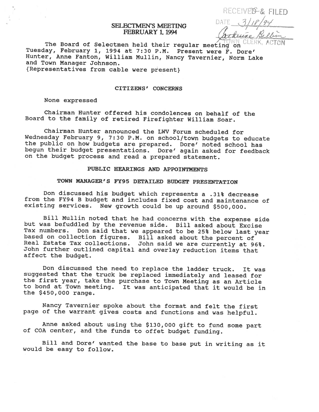# RECEIVED & FILED DATE

# SELECTMEN'S MEETING FEBRUARY 1.1994

The Board of Selectmen held their regular meeting on ULEM<br>Tuesday, February 1, 1994 at 7:30 P.M. Present were F. Dore' Hunter, Anne Fanton, William Mullin, Nancy Tavernier, Norm Lake and Town Manager Johnson.

{Representatives from cable were present}

#### CITIZENS' CONCERNS

#### None expressed

Chairman Hunter offered his condolences on behalf of the Board to the family of retired Firefighter William Soar.

Chairman Hunter announced the LWV Forum scheduled for<br>Wednesday February 9, 7:30 P.M. on school/town budgets to educate the public on how budgets are prepared. Dore' noted school has begun their budget presentations. Dore' again asked for feedback on the budget process and read <sup>a</sup> prepared statement.

### PUBLIC HEARINGS AND APPOINTMENTS

## TOWN MANAGER'S FY95 DETAILED BUDGET PRESENTATION

Don discussed his budget which represents <sup>a</sup> .31% decrease from the FY94 <sup>B</sup> budget and includes fixed cost and maintenance of existing services. New growth could be up around \$500,000.

Bill Mullin noted that he had concerns with the expense side<br>but was befuddled by the revenue side. Bill asked about Excise<br>Tax numbers. Don said that we appeared to be 25% below last year based on collection figures. Bill asked about the percent of<br>Real Estate Tax collections. John said we are currently at 96%.<br>John further outlined capital and overlay reduction items that affect the budget.

Don discussed the need to replace the ladder truck. It was suggested that the truck be replaced immediately and leased for the first year, take the purchase to Town Meeting as an Article to bond at Town meeting. It was anticipated that it would be in the \$450,000 range.

Nancy Tavernier spoke about the format and felt the first page of the warrant <sup>g</sup>ives costs and functions and was helpful.

Anne asked about using the \$130,000 <sup>g</sup>ift to fund some part of COA center, and the funds to offet budget funding.

Bill and Dore' wanted the base to base put in writing as it would be easy to follow.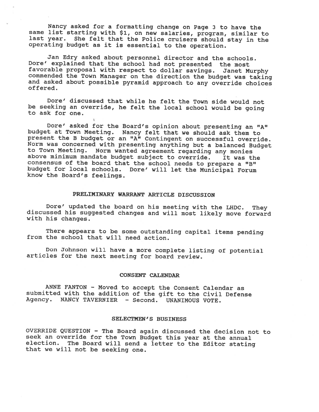Nancy asked for a formatting change on Page 3 to have the same list starting with \$1, on new salaries, program, similar to last year. She felt that the Police cruisers should stay in the operating budget as it is essential to the operation.

Jan Edry asked about personnel director and the schools. Dore' explained that the school had not presented the most<br>favorable proposal with respect to dollar savings. Janet Murphy commended the Town Manager on the direction the budget was taking<br>and asked about possible pyramid approach to any override choices<br>offered.

Dore' discussed that while he felt the Town side would not be seeking an override, he felt the local school would be going to ask for one.

Dore' asked for the Board's opinion about presenting an "A" budget at Town Meeting. Nancy felt that we should ask them to present the B budget or an "A" Contingent on successful override.<br>Norm was concerned with presenting anything but a balanced Budget to Town Meeting. Norm wanted agreement regarding any monies<br>above minimum mandate budget subject to override. It was the<br>consensus of the board that the school needs to prepare a "B" budget for local schools. Dore' will let the Municipal Forum know the Board's feelings.

## PRELIMINARY WARRANT ARTICLE DISCUSSION

Dore' updated the board on his meeting with the LHDC. They discussed his suggested changes and will most likely move forward with his changes.

There appears to be some outstanding capital items pending from the school that will need action.

Don Johnson will have <sup>a</sup> more complete listing of potential articles for the next meeting for board review.

#### CONSENT CALENDAR

ANNE FANTON - Moved to accept the Consent Calendar as submitted with the addition of the <sup>g</sup>ift to the Civil Defense Agency. NANCY TAVERNIER - Second. UNANIMOUS VOTE.

#### SELECTMEN'S BUSINESS

OVERRIDE QUESTION - The Board again discussed the decision not to seek an override for the Town Budget this year at the annual election. The Board will send a letter to the Editor stating that we will not be seeking one.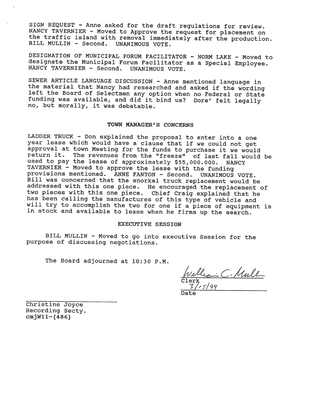SIGN REQUEST - Anne asked for the draft regulations for review.<br>NANCY TAVERNIER - Moved to Approve the request for placement on the traffic island with removal immediately after the production.<br>BILL MULLIN - Second. UNANIMOUS VOTE.

DESIGNATION OF MUNICIPAL FORUM FACILITATOR - NORM LAKE - Moved to designate the Municipal Forum Facilitator as a Special Employee. NANCY TAVERNIER - Second. UNANIMOUS VOTE.

SEWER ARTICLE LANGUAGE DISCUSSION - Anne mentioned language in the material that Nancy had researched and asked if the wording left the Board of Selectmen any option when no Federal or State funding was available, and did it bind us? Dore' felt legally no, but morally, it was debatable.

#### TOWN MANAGER'S CONCERNS

LADDER TRUCK - Don explained the proposal to enter into a one year lease which would have a clause that if we could not get approval at town Meeting for the funds to purchase it we would return it. The revenues from the "freeze" of last fall would be used to pay the lease of approximately \$55,000.000. NANCY<br>TAVERNIER - Moved to approve the lease with the funding provisions mentioned. ANNE FANTON - Second. UNANIMOUS VOTE. Bill was concerned that the snorkel truck replacement would be addressed with this one piece. He encouraged the replacement of<br>two pieces with this one piece. Chief Craig explained that he has been calling the manufactures of this type of vehicle and will try to accomplish the two for one if a piece of equipment is in stock and available to lease when he firms up the search.

#### EXECUTIVE SESSION

BILL MULLIN - Moved to go into executive Session for the purpose of discussing negotiations.

The Board adjourned at 10:30 P.M.

Clerk

Date

Christine Joyce Recording Secty.  $cmjW11-(486)$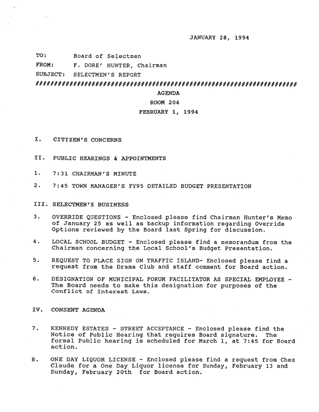JANUARY 28, 1994

- TO: Board of Selectmen
- FROM: F. DORE' HUNTER, Chairman

SUBJECT: SELECTMEN'S REPORT

# 

#### AGENDA

## ROOM 204

# FEBRUARY 1, 1994

- I. CITIZEN'S CONCERNS
- II. PUBLIC HEARINGS & APPOINTMENTS
- 1. 7: 31 CHAIRMAN'S MINUTE
- 2. 7:45 TOWN MANAGER'S FY95 DETAILED BUDGET PRESENTATION

## III. SELECTMEN'S BUSINESS

- 3. OVERRIDE QUESTIONS Enclosed <sup>p</sup>lease find Chairman Hunter's Memo of January <sup>25</sup> as well as backup information regarding Override Options reviewed by the Board last Spring for discussion.
- 4. LOCAL SCHOOL BUDGET Enclosed <sup>p</sup>lease find <sup>a</sup> memorandum from the Chairman concerning the Local School's Budget Presentation.
- 5. REQUEST TO PLACE SIGN ON TRAFFIC ISLAND- Enclosed <sup>p</sup>lease find <sup>a</sup> reques<sup>t</sup> from the Drama Club and staff comment for Board action.
- 6. DESIGNATION OF MUNICIPAL FORUM FACILITATOR AS SPECIAL EMPLOYEE The Board needs to make this designation for purposes of the Conflict of Interest Laws.

# IV. CONSENT AGENDA

- 7. KENNEDY ESTATES STREET ACCEPTANCE Enclosed please find the Notice of Public Hearing that requires Board signature. The formal Public hearing is scheduled for March 1, at 7:45 for Board action.
- 8. ONE DAY LIQUOR LICENSE Enclosed please find a request from Chez Claude for <sup>a</sup> One Day Liquor license for Sunday, February 13 and Sunday, February 20th for Board action.